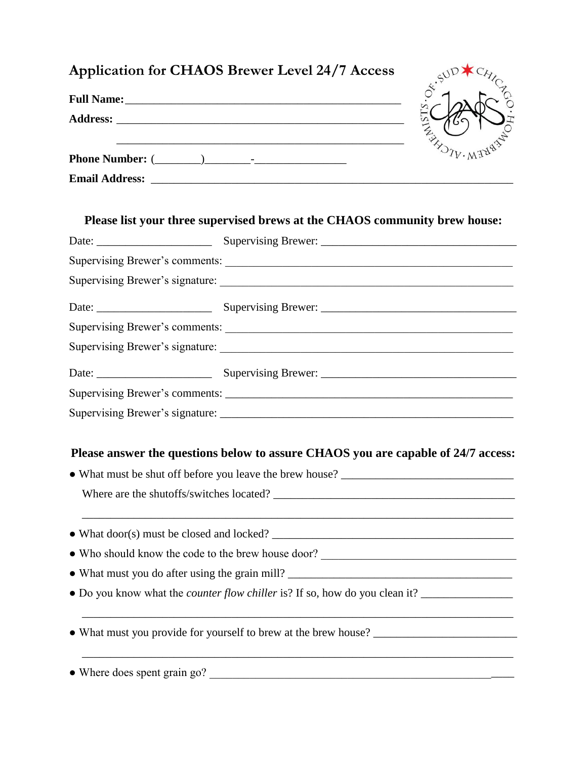| ON THE CALL OF THE CALL OF THE CALL OF                                                                                            |
|-----------------------------------------------------------------------------------------------------------------------------------|
|                                                                                                                                   |
|                                                                                                                                   |
| Please list your three supervised brews at the CHAOS community brew house:                                                        |
|                                                                                                                                   |
|                                                                                                                                   |
|                                                                                                                                   |
|                                                                                                                                   |
|                                                                                                                                   |
|                                                                                                                                   |
|                                                                                                                                   |
|                                                                                                                                   |
|                                                                                                                                   |
|                                                                                                                                   |
| Please answer the questions below to assure CHAOS you are capable of 24/7 access:                                                 |
|                                                                                                                                   |
|                                                                                                                                   |
|                                                                                                                                   |
|                                                                                                                                   |
|                                                                                                                                   |
|                                                                                                                                   |
|                                                                                                                                   |
| • Who should know the code to the brew house door?<br><u> </u><br>• What must you provide for yourself to brew at the brew house? |